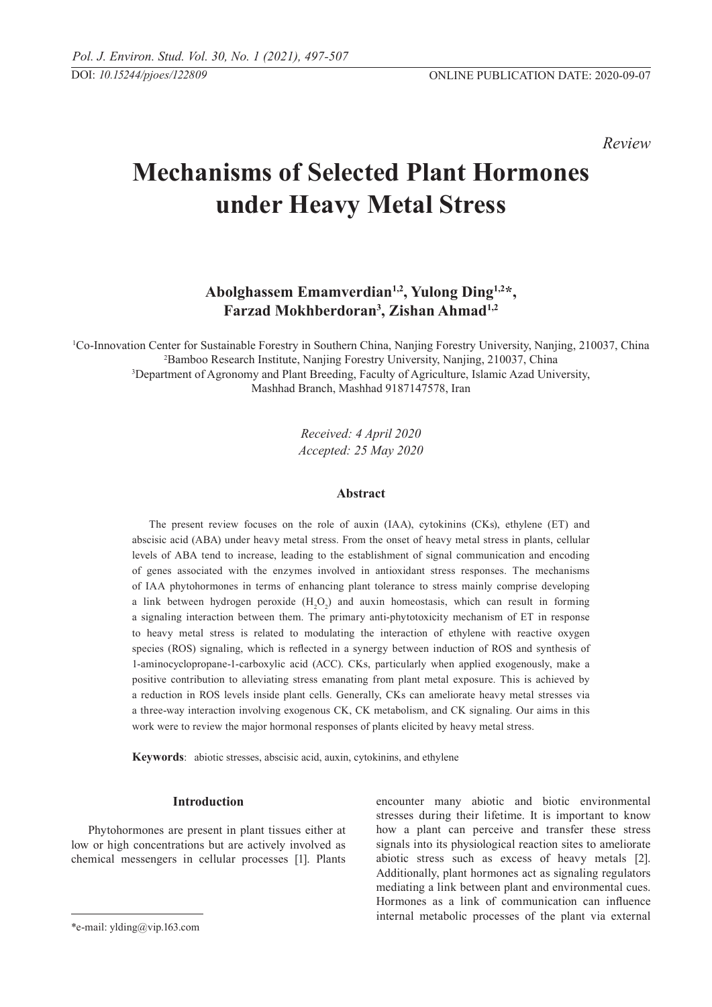*Review* 

# **Mechanisms of Selected Plant Hormones under Heavy Metal Stress**

# **Abolghassem Emamverdian1,2, Yulong Ding1,2\*, Farzad Mokhberdoran3 , Zishan Ahmad1,2**

 Co-Innovation Center for Sustainable Forestry in Southern China, Nanjing Forestry University, Nanjing, 210037, China Bamboo Research Institute, Nanjing Forestry University, Nanjing, 210037, China Department of Agronomy and Plant Breeding, Faculty of Agriculture, Islamic Azad University, Mashhad Branch, Mashhad 9187147578, Iran

> *Received: 4 April 2020 Accepted: 25 May 2020*

# **Abstract**

The present review focuses on the role of auxin (IAA), cytokinins (CKs), ethylene (ET) and abscisic acid (ABA) under heavy metal stress. From the onset of heavy metal stress in plants, cellular levels of ABA tend to increase, leading to the establishment of signal communication and encoding of genes associated with the enzymes involved in antioxidant stress responses. The mechanisms of IAA phytohormones in terms of enhancing plant tolerance to stress mainly comprise developing a link between hydrogen peroxide  $(H_2O_2)$  and auxin homeostasis, which can result in forming a signaling interaction between them. The primary anti-phytotoxicity mechanism of ET in response to heavy metal stress is related to modulating the interaction of ethylene with reactive oxygen species (ROS) signaling, which is reflected in a synergy between induction of ROS and synthesis of 1-aminocyclopropane-1-carboxylic acid (ACC). CKs, particularly when applied exogenously, make a positive contribution to alleviating stress emanating from plant metal exposure. This is achieved by a reduction in ROS levels inside plant cells. Generally, CKs can ameliorate heavy metal stresses via a three-way interaction involving exogenous CK, CK metabolism, and CK signaling. Our aims in this work were to review the major hormonal responses of plants elicited by heavy metal stress.

**Keywords**: abiotic stresses, abscisic acid, auxin, cytokinins, and ethylene

#### **Introduction**

Phytohormones are present in plant tissues either at low or high concentrations but are actively involved as chemical messengers in cellular processes [1]. Plants

encounter many abiotic and biotic environmental stresses during their lifetime. It is important to know how a plant can perceive and transfer these stress signals into its physiological reaction sites to ameliorate abiotic stress such as excess of heavy metals [2]. Additionally, plant hormones act as signaling regulators mediating a link between plant and environmental cues. Hormones as a link of communication can influence internal metabolic processes of the plant via external

<sup>\*</sup>e-mail: ylding@vip.163.com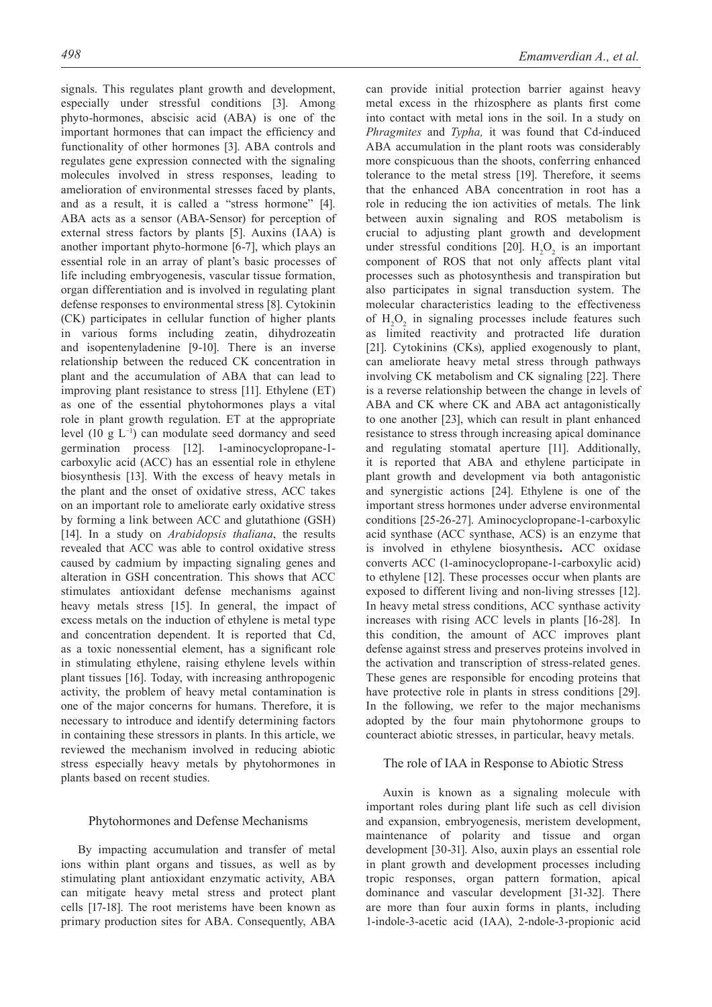signals. This regulates plant growth and development, especially under stressful conditions [3]. Among phyto-hormones, abscisic acid (ABA) is one of the important hormones that can impact the efficiency and functionality of other hormones [3]. ABA controls and regulates gene expression connected with the signaling molecules involved in stress responses, leading to amelioration of environmental stresses faced by plants, and as a result, it is called a "stress hormone" [4]. ABA acts as a sensor (ABA-Sensor) for perception of external stress factors by plants [5]. Auxins (IAA) is another important phyto-hormone [6-7], which plays an essential role in an array of plant's basic processes of life including embryogenesis, vascular tissue formation, organ differentiation and is involved in regulating plant defense responses to environmental stress [8]. Cytokinin (CK) participates in cellular function of higher plants in various forms including zeatin, dihydrozeatin and isopentenyladenine [9-10]. There is an inverse relationship between the reduced CK concentration in plant and the accumulation of ABA that can lead to improving plant resistance to stress [11]. Ethylene (ET) as one of the essential phytohormones plays a vital role in plant growth regulation. ET at the appropriate level (10 g L−1) can modulate seed dormancy and seed germination process [12]. 1-aminocyclopropane-1 carboxylic acid (ACC) has an essential role in ethylene biosynthesis [13]. With the excess of heavy metals in the plant and the onset of oxidative stress, ACC takes on an important role to ameliorate early oxidative stress by forming a link between ACC and glutathione (GSH) [14]. In a study on *Arabidopsis thaliana*, the results revealed that ACC was able to control oxidative stress caused by cadmium by impacting signaling genes and alteration in GSH concentration. This shows that ACC stimulates antioxidant defense mechanisms against heavy metals stress [15]. In general, the impact of excess metals on the induction of ethylene is metal type and concentration dependent. It is reported that Cd, as a toxic nonessential element, has a significant role in stimulating ethylene, raising ethylene levels within plant tissues [16]. Today, with increasing anthropogenic activity, the problem of heavy metal contamination is one of the major concerns for humans. Therefore, it is necessary to introduce and identify determining factors in containing these stressors in plants. In this article, we reviewed the mechanism involved in reducing abiotic stress especially heavy metals by phytohormones in plants based on recent studies.

#### Phytohormones and Defense Mechanisms

By impacting accumulation and transfer of metal ions within plant organs and tissues, as well as by stimulating plant antioxidant enzymatic activity, ABA can mitigate heavy metal stress and protect plant cells [17-18]. The root meristems have been known as primary production sites for ABA. Consequently, ABA can provide initial protection barrier against heavy metal excess in the rhizosphere as plants first come into contact with metal ions in the soil. In a study on *Phragmites* and *Typha,* it was found that Cd-induced ABA accumulation in the plant roots was considerably more conspicuous than the shoots, conferring enhanced tolerance to the metal stress [19]. Therefore, it seems that the enhanced ABA concentration in root has a role in reducing the ion activities of metals. The link between auxin signaling and ROS metabolism is crucial to adjusting plant growth and development under stressful conditions [20].  $H_2O_2$  is an important component of ROS that not only affects plant vital processes such as photosynthesis and transpiration but also participates in signal transduction system. The molecular characteristics leading to the effectiveness of  $H_2O_2$  in signaling processes include features such as limited reactivity and protracted life duration [21]. Cytokinins (CKs), applied exogenously to plant, can ameliorate heavy metal stress through pathways involving CK metabolism and CK signaling [22]. There is a reverse relationship between the change in levels of ABA and CK where CK and ABA act antagonistically to one another [23], which can result in plant enhanced resistance to stress through increasing apical dominance and regulating stomatal aperture [11]. Additionally, it is reported that ABA and ethylene participate in plant growth and development via both antagonistic and synergistic actions [24]. Ethylene is one of the important stress hormones under adverse environmental conditions [25-26-27]. Aminocyclopropane-1-carboxylic acid synthase (ACC synthase, ACS) is an enzyme that is involved in ethylene biosynthesis**.** ACC oxidase converts ACC (1-aminocyclopropane-1-carboxylic acid) to ethylene [12]. These processes occur when plants are exposed to different living and non-living stresses [12]. In heavy metal stress conditions, ACC synthase activity increases with rising ACC levels in plants [16-28]. In this condition, the amount of ACC improves plant defense against stress and preserves proteins involved in the activation and transcription of stress-related genes. These genes are responsible for encoding proteins that have protective role in plants in stress conditions [29]. In the following, we refer to the major mechanisms adopted by the four main phytohormone groups to counteract abiotic stresses, in particular, heavy metals.

# The role of IAA in Response to Abiotic Stress

Auxin is known as a signaling molecule with important roles during plant life such as cell division and expansion, embryogenesis, meristem development, maintenance of polarity and tissue and organ development [30-31]. Also, auxin plays an essential role in plant growth and development processes including tropic responses, organ pattern formation, apical dominance and vascular development [31-32]. There are more than four auxin forms in plants, including 1-indole-3-acetic acid (IAA), 2-ndole-3-propionic acid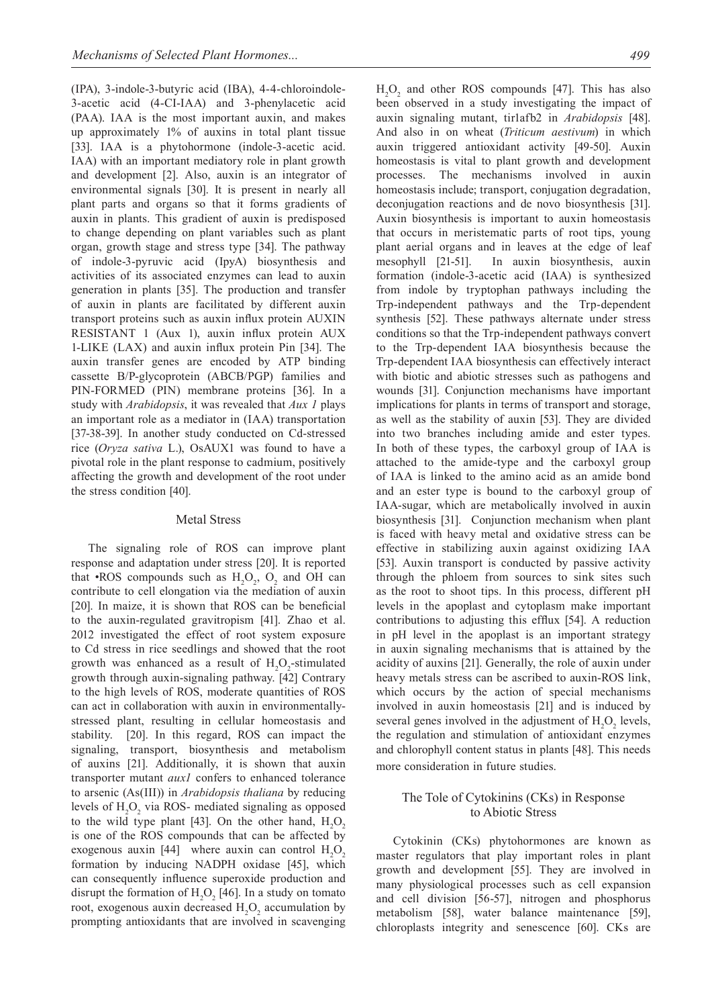(IPA), 3-indole-3-butyric acid (IBA), 4-4-chloroindole-3-acetic acid (4-CI-IAA) and 3-phenylacetic acid (PAA). IAA is the most important auxin, and makes up approximately 1% of auxins in total plant tissue [33]. IAA is a phytohormone (indole-3-acetic acid. IAA) with an important mediatory role in plant growth and development [2]. Also, auxin is an integrator of environmental signals [30]. It is present in nearly all plant parts and organs so that it forms gradients of auxin in plants. This gradient of auxin is predisposed to change depending on plant variables such as plant organ, growth stage and stress type [34]. The pathway of indole-3-pyruvic acid (IpyA) biosynthesis and activities of its associated enzymes can lead to auxin generation in plants [35]. The production and transfer of auxin in plants are facilitated by different auxin transport proteins such as auxin influx protein AUXIN RESISTANT 1 (Aux 1), auxin influx protein AUX 1-LIKE (LAX) and auxin influx protein Pin [34]. The auxin transfer genes are encoded by ATP binding cassette B/P-glycoprotein (ABCB/PGP) families and PIN-FORMED (PIN) membrane proteins [36]. In a study with *Arabidopsis*, it was revealed that *Aux 1* plays an important role as a mediator in (IAA) transportation [37-38-39]. In another study conducted on Cd-stressed rice (*Oryza sativa* L.), OsAUX1 was found to have a pivotal role in the plant response to cadmium, positively affecting the growth and development of the root under the stress condition [40].

#### Metal Stress

The signaling role of ROS can improve plant response and adaptation under stress [20]. It is reported that •ROS compounds such as  $H_2O_2$ ,  $O_2$  and OH can contribute to cell elongation via the mediation of auxin [20]. In maize, it is shown that ROS can be beneficial to the auxin-regulated gravitropism [41]. Zhao et al. 2012 investigated the effect of root system exposure to Cd stress in rice seedlings and showed that the root growth was enhanced as a result of  $H_2O_2$ -stimulated growth through auxin-signaling pathway. [42] Contrary to the high levels of ROS, moderate quantities of ROS can act in collaboration with auxin in environmentallystressed plant, resulting in cellular homeostasis and stability. [20]. In this regard, ROS can impact the signaling, transport, biosynthesis and metabolism of auxins [21]. Additionally, it is shown that auxin transporter mutant *aux1* confers to enhanced tolerance to arsenic (As(III)) in *Arabidopsis thaliana* by reducing levels of  $H_2O_2$  via ROS- mediated signaling as opposed to the wild type plant [43]. On the other hand,  $H_2O_2$ is one of the ROS compounds that can be affected by exogenous auxin [44] where auxin can control  $H_2O_2$ formation by inducing NADPH oxidase [45], which can consequently influence superoxide production and disrupt the formation of  $H_2O_2$  [46]. In a study on tomato root, exogenous auxin decreased  $H_2O_2$  accumulation by prompting antioxidants that are involved in scavenging

 $H_2O_2$  and other ROS compounds [47]. This has also been observed in a study investigating the impact of auxin signaling mutant, tir1afb2 in *Arabidopsis* [48]. And also in on wheat (*Triticum aestivum*) in which auxin triggered antioxidant activity [49-50]. Auxin homeostasis is vital to plant growth and development processes. The mechanisms involved in auxin homeostasis include; transport, conjugation degradation, deconjugation reactions and de novo biosynthesis [31]. Auxin biosynthesis is important to auxin homeostasis that occurs in meristematic parts of root tips, young plant aerial organs and in leaves at the edge of leaf mesophyll [21-51]. In auxin biosynthesis, auxin formation (indole-3-acetic acid (IAA) is synthesized from indole by tryptophan pathways including the Trp-independent pathways and the Trp-dependent synthesis [52]. These pathways alternate under stress conditions so that the Trp-independent pathways convert to the Trp-dependent IAA biosynthesis because the Trp-dependent IAA biosynthesis can effectively interact with biotic and abiotic stresses such as pathogens and wounds [31]. Conjunction mechanisms have important implications for plants in terms of transport and storage, as well as the stability of auxin [53]. They are divided into two branches including amide and ester types. In both of these types, the carboxyl group of IAA is attached to the amide-type and the carboxyl group of IAA is linked to the amino acid as an amide bond and an ester type is bound to the carboxyl group of IAA-sugar, which are metabolically involved in auxin biosynthesis [31]. Conjunction mechanism when plant is faced with heavy metal and oxidative stress can be effective in stabilizing auxin against oxidizing IAA [53]. Auxin transport is conducted by passive activity through the phloem from sources to sink sites such as the root to shoot tips. In this process, different pH levels in the apoplast and cytoplasm make important contributions to adjusting this efflux [54]. A reduction in pH level in the apoplast is an important strategy in auxin signaling mechanisms that is attained by the acidity of auxins [21]. Generally, the role of auxin under heavy metals stress can be ascribed to auxin-ROS link, which occurs by the action of special mechanisms involved in auxin homeostasis [21] and is induced by several genes involved in the adjustment of  $H_2O_2$  levels, the regulation and stimulation of antioxidant enzymes and chlorophyll content status in plants [48]. This needs more consideration in future studies.

# The Tole of Cytokinins (CKs) in Response to Abiotic Stress

Cytokinin (CKs) phytohormones are known as master regulators that play important roles in plant growth and development [55]. They are involved in many physiological processes such as cell expansion and cell division [56-57], nitrogen and phosphorus metabolism [58], water balance maintenance [59], chloroplasts integrity and senescence [60]. CKs are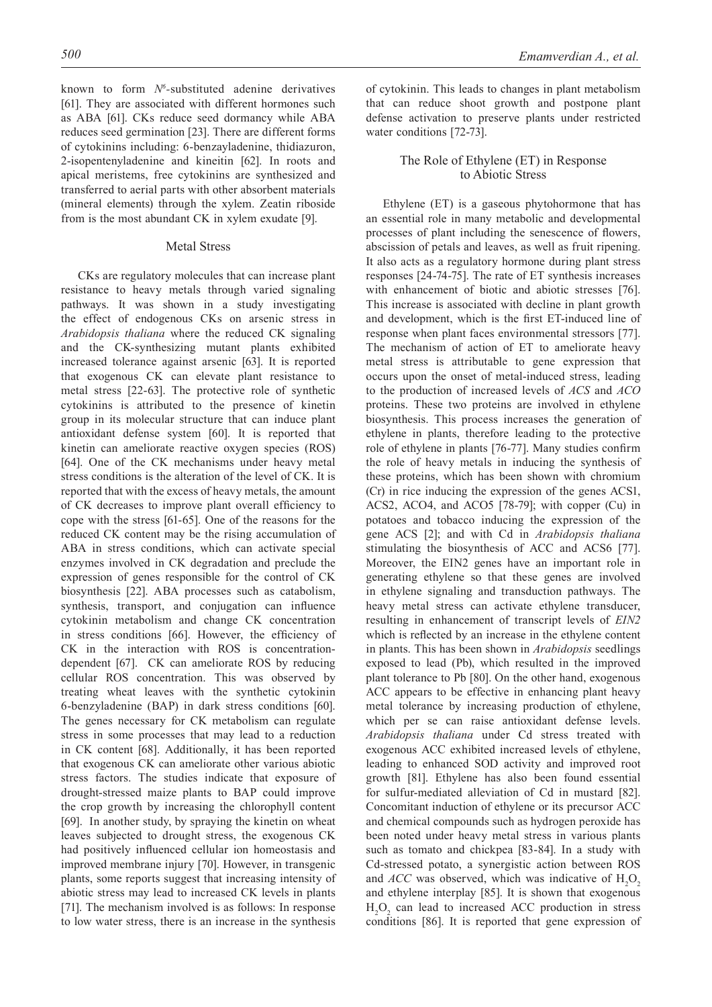known to form  $N^6$ -substituted adenine derivatives [61]. They are associated with different hormones such as ABA [61]. CKs reduce seed dormancy while ABA reduces seed germination [23]. There are different forms of cytokinins including: 6-benzayladenine, thidiazuron, 2-isopentenyladenine and kineitin [62]. In roots and apical meristems, free cytokinins are synthesized and transferred to aerial parts with other absorbent materials (mineral elements) through the xylem. Zeatin riboside from is the most abundant CK in xylem exudate [9].

# Metal Stress

CKs are regulatory molecules that can increase plant resistance to heavy metals through varied signaling pathways. It was shown in a study investigating the effect of endogenous CKs on arsenic stress in *Arabidopsis thaliana* where the reduced CK signaling and the CK-synthesizing mutant plants exhibited increased tolerance against arsenic [63]. It is reported that exogenous CK can elevate plant resistance to metal stress [22-63]. The protective role of synthetic cytokinins is attributed to the presence of kinetin group in its molecular structure that can induce plant antioxidant defense system [60]. It is reported that kinetin can ameliorate reactive oxygen species (ROS) [64]. One of the CK mechanisms under heavy metal stress conditions is the alteration of the level of CK. It is reported that with the excess of heavy metals, the amount of CK decreases to improve plant overall efficiency to cope with the stress [61-65]. One of the reasons for the reduced CK content may be the rising accumulation of ABA in stress conditions, which can activate special enzymes involved in CK degradation and preclude the expression of genes responsible for the control of CK biosynthesis [22]. ABA processes such as catabolism, synthesis, transport, and conjugation can influence cytokinin metabolism and change CK concentration in stress conditions [66]. However, the efficiency of CK in the interaction with ROS is concentrationdependent [67]. CK can ameliorate ROS by reducing cellular ROS concentration. This was observed by treating wheat leaves with the synthetic cytokinin 6-benzyladenine (BAP) in dark stress conditions [60]. The genes necessary for CK metabolism can regulate stress in some processes that may lead to a reduction in CK content [68]. Additionally, it has been reported that exogenous CK can ameliorate other various abiotic stress factors. The studies indicate that exposure of drought-stressed maize plants to BAP could improve the crop growth by increasing the chlorophyll content [69]. In another study, by spraying the kinetin on wheat leaves subjected to drought stress, the exogenous CK had positively influenced cellular ion homeostasis and improved membrane injury [70]. However, in transgenic plants, some reports suggest that increasing intensity of abiotic stress may lead to increased CK levels in plants [71]. The mechanism involved is as follows: In response to low water stress, there is an increase in the synthesis

of cytokinin. This leads to changes in plant metabolism that can reduce shoot growth and postpone plant defense activation to preserve plants under restricted water conditions [72-73].

# The Role of Ethylene (ET) in Response to Abiotic Stress

Ethylene (ET) is a gaseous phytohormone that has an essential role in many metabolic and developmental processes of plant including the senescence of flowers, abscission of petals and leaves, as well as fruit ripening. It also acts as a regulatory hormone during plant stress responses [24-74-75]. The rate of ET synthesis increases with enhancement of biotic and abiotic stresses [76]. This increase is associated with decline in plant growth and development, which is the first ET-induced line of response when plant faces environmental stressors [77]. The mechanism of action of ET to ameliorate heavy metal stress is attributable to gene expression that occurs upon the onset of metal-induced stress, leading to the production of increased levels of *ACS* and *ACO* proteins. These two proteins are involved in ethylene biosynthesis. This process increases the generation of ethylene in plants, therefore leading to the protective role of ethylene in plants [76-77]. Many studies confirm the role of heavy metals in inducing the synthesis of these proteins, which has been shown with chromium (Cr) in rice inducing the expression of the genes ACS1, ACS2, ACO4, and ACO5 [78-79]; with copper (Cu) in potatoes and tobacco inducing the expression of the gene ACS [2]; and with Cd in *Arabidopsis thaliana* stimulating the biosynthesis of ACC and ACS6 [77]. Moreover, the EIN2 genes have an important role in generating ethylene so that these genes are involved in ethylene signaling and transduction pathways. The heavy metal stress can activate ethylene transducer, resulting in enhancement of transcript levels of *EIN2* which is reflected by an increase in the ethylene content in plants. This has been shown in *Arabidopsis* seedlings exposed to lead (Pb), which resulted in the improved plant tolerance to Pb [80]. On the other hand, exogenous ACC appears to be effective in enhancing plant heavy metal tolerance by increasing production of ethylene, which per se can raise antioxidant defense levels. *Arabidopsis thaliana* under Cd stress treated with exogenous ACC exhibited increased levels of ethylene, leading to enhanced SOD activity and improved root growth [81]. Ethylene has also been found essential for sulfur-mediated alleviation of Cd in mustard [82]. Concomitant induction of ethylene or its precursor ACC and chemical compounds such as hydrogen peroxide has been noted under heavy metal stress in various plants such as tomato and chickpea [83-84]. In a study with Cd-stressed potato, a synergistic action between ROS and *ACC* was observed, which was indicative of  $H_2O_2$ and ethylene interplay [85]. It is shown that exogenous  $H_2O_2$  can lead to increased ACC production in stress conditions [86]. It is reported that gene expression of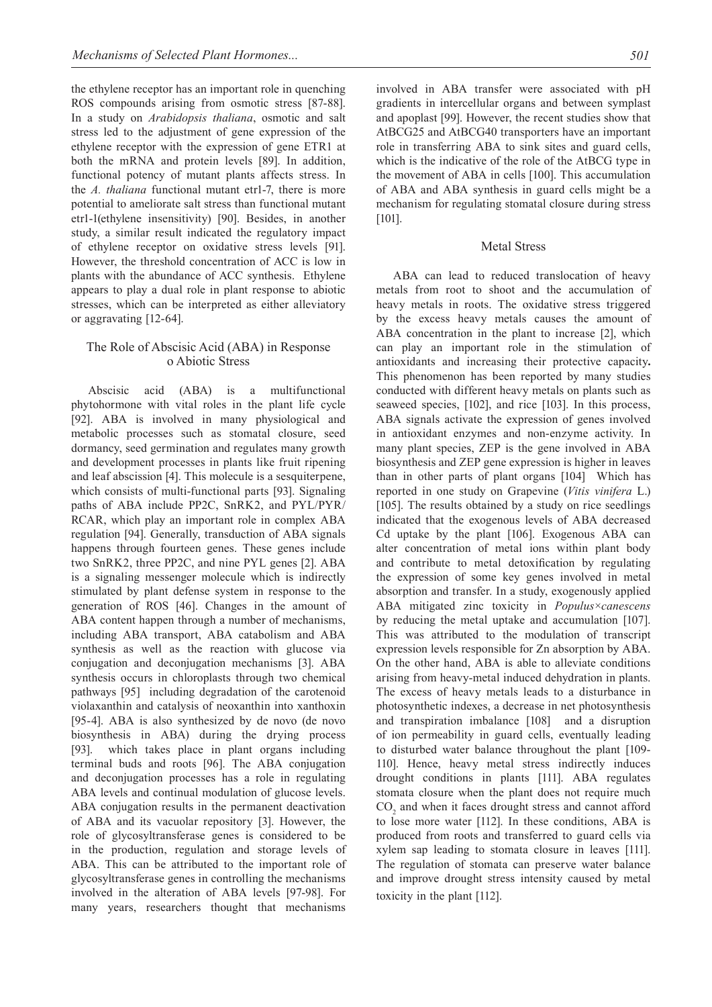the ethylene receptor has an important role in quenching ROS compounds arising from osmotic stress [87-88]. In a study on *Arabidopsis thaliana*, osmotic and salt stress led to the adjustment of gene expression of the ethylene receptor with the expression of gene ETR1 at both the mRNA and protein levels [89]. In addition, functional potency of mutant plants affects stress. In the *A. thaliana* functional mutant etr1-7, there is more potential to ameliorate salt stress than functional mutant etr1-1(ethylene insensitivity) [90]. Besides, in another study, a similar result indicated the regulatory impact of ethylene receptor on oxidative stress levels [91]. However, the threshold concentration of ACC is low in plants with the abundance of ACC synthesis. Ethylene appears to play a dual role in plant response to abiotic stresses, which can be interpreted as either alleviatory or aggravating [12-64].

# The Role of Abscisic Acid (ABA) in Response o Abiotic Stress

Abscisic acid (ABA) is a multifunctional phytohormone with vital roles in the plant life cycle [92]. ABA is involved in many physiological and metabolic processes such as stomatal closure, seed dormancy, seed germination and regulates many growth and development processes in plants like fruit ripening and leaf abscission [4]. This molecule is a sesquiterpene, which consists of multi-functional parts [93]. Signaling paths of ABA include PP2C, SnRK2, and PYL/PYR/ RCAR, which play an important role in complex ABA regulation [94]. Generally, transduction of ABA signals happens through fourteen genes. These genes include two SnRK2, three PP2C, and nine PYL genes [2]. ABA is a signaling messenger molecule which is indirectly stimulated by plant defense system in response to the generation of ROS [46]. Changes in the amount of ABA content happen through a number of mechanisms, including ABA transport, ABA catabolism and ABA synthesis as well as the reaction with glucose via conjugation and deconjugation mechanisms [3]. ABA synthesis occurs in chloroplasts through two chemical pathways [95] including degradation of the carotenoid violaxanthin and catalysis of neoxanthin into xanthoxin [95-4]. ABA is also synthesized by de novo (de novo biosynthesis in ABA) during the drying process [93]. which takes place in plant organs including terminal buds and roots [96]. The ABA conjugation and deconjugation processes has a role in regulating ABA levels and continual modulation of glucose levels. ABA conjugation results in the permanent deactivation of ABA and its vacuolar repository [3]. However, the role of glycosyltransferase genes is considered to be in the production, regulation and storage levels of ABA. This can be attributed to the important role of glycosyltransferase genes in controlling the mechanisms involved in the alteration of ABA levels [97-98]. For many years, researchers thought that mechanisms

involved in ABA transfer were associated with pH gradients in intercellular organs and between symplast and apoplast [99]. However, the recent studies show that AtBCG25 and AtBCG40 transporters have an important role in transferring ABA to sink sites and guard cells, which is the indicative of the role of the AtBCG type in the movement of ABA in cells [100]. This accumulation of ABA and ABA synthesis in guard cells might be a mechanism for regulating stomatal closure during stress [101].

# Metal Stress

ABA can lead to reduced translocation of heavy metals from root to shoot and the accumulation of heavy metals in roots. The oxidative stress triggered by the excess heavy metals causes the amount of ABA concentration in the plant to increase [2], which can play an important role in the stimulation of antioxidants and increasing their protective capacity**.** This phenomenon has been reported by many studies conducted with different heavy metals on plants such as seaweed species, [102], and rice [103]. In this process, ABA signals activate the expression of genes involved in antioxidant enzymes and non-enzyme activity. In many plant species, ZEP is the gene involved in ABA biosynthesis and ZEP gene expression is higher in leaves than in other parts of plant organs [104] Which has reported in one study on Grapevine (*Vitis vinifera* L.) [105]. The results obtained by a study on rice seedlings indicated that the exogenous levels of ABA decreased Cd uptake by the plant [106]. Exogenous ABA can alter concentration of metal ions within plant body and contribute to metal detoxification by regulating the expression of some key genes involved in metal absorption and transfer. In a study, exogenously applied ABA mitigated zinc toxicity in *Populus×canescens* by reducing the metal uptake and accumulation [107]. This was attributed to the modulation of transcript expression levels responsible for Zn absorption by ABA. On the other hand, ABA is able to alleviate conditions arising from heavy-metal induced dehydration in plants. The excess of heavy metals leads to a disturbance in photosynthetic indexes, a decrease in net photosynthesis and transpiration imbalance [108] and a disruption of ion permeability in guard cells, eventually leading to disturbed water balance throughout the plant [109- 110]. Hence, heavy metal stress indirectly induces drought conditions in plants [111]. ABA regulates stomata closure when the plant does not require much  $CO<sub>2</sub>$  and when it faces drought stress and cannot afford to lose more water [112]. In these conditions, ABA is produced from roots and transferred to guard cells via xylem sap leading to stomata closure in leaves [111]. The regulation of stomata can preserve water balance and improve drought stress intensity caused by metal toxicity in the plant [112].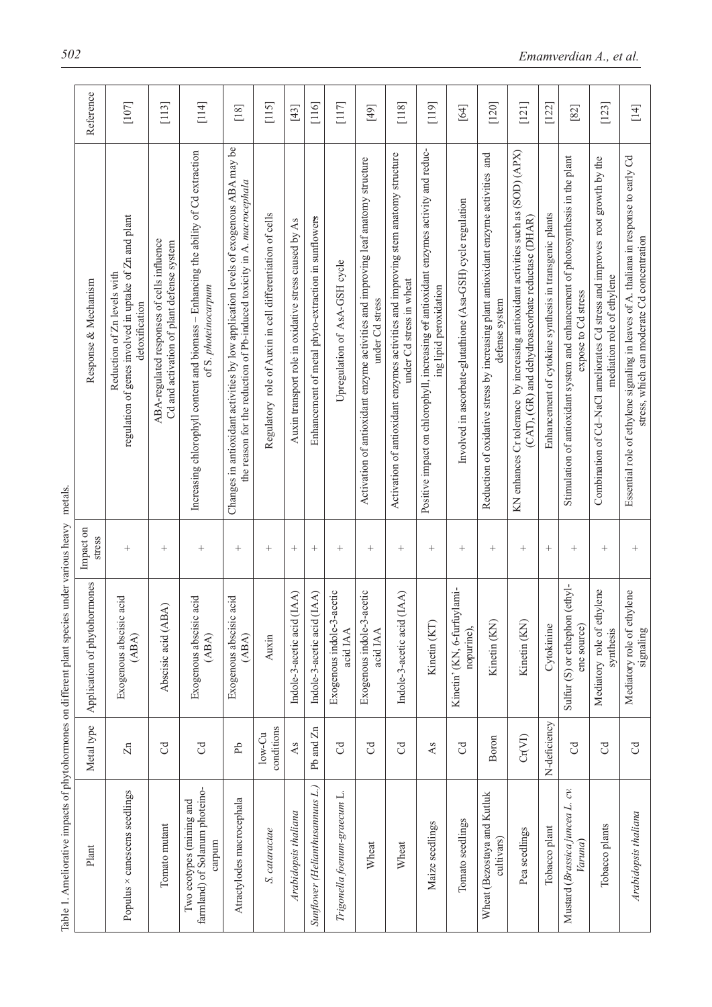|                                                                                                      | Reference                    | $[107]$                                                                                                 | $[113]$                                                                                 | $[114]$                                                                                                     | [18]                                                                                                                                                          | $[115]$                                                   | $[43]$                                                | [116]                                               | $[117]$                               | $\left[49\right]$                                                                                   | $[118]$                                                                                                       | $[119]$                                                                                                                    | $[64]$                                                       | [120]                                                                                                 | [121]                                                                                                                                  | [122]                                                  | [82]                                                                                                    | $[123]$                                                                                                    | $[14]$                                                                                                                               |
|------------------------------------------------------------------------------------------------------|------------------------------|---------------------------------------------------------------------------------------------------------|-----------------------------------------------------------------------------------------|-------------------------------------------------------------------------------------------------------------|---------------------------------------------------------------------------------------------------------------------------------------------------------------|-----------------------------------------------------------|-------------------------------------------------------|-----------------------------------------------------|---------------------------------------|-----------------------------------------------------------------------------------------------------|---------------------------------------------------------------------------------------------------------------|----------------------------------------------------------------------------------------------------------------------------|--------------------------------------------------------------|-------------------------------------------------------------------------------------------------------|----------------------------------------------------------------------------------------------------------------------------------------|--------------------------------------------------------|---------------------------------------------------------------------------------------------------------|------------------------------------------------------------------------------------------------------------|--------------------------------------------------------------------------------------------------------------------------------------|
|                                                                                                      | Response & Mechanism         | regulation of genes involved in uptake of Zn and plant<br>Reduction of Zn levels with<br>detoxification | ABA-regulated responses of cells influence<br>Cd and activation of plant defense system | Increasing chlorophyll content and biomass - Enhancing the ability of Cd extraction<br>of S. photeinocarpum | Changes in antioxidant activities by low application levels of exogenous ABA may be<br>the reason for the reduction of Pb-induced toxicity in A. macrocephala | Regulatory role of Auxin in cell differentiation of cells | Auxin transport role in oxidative stress caused by As | Enhancement of metal phyto-extraction in sunflowers | Upregulation of AsA-GSH cycle         | Activation of antioxidant enzyme activities and improving leaf anatomy structure<br>under Cd stress | Activation of antioxidant enzymes activities and improving stem anatomy structure<br>under Cd stress in wheat | Positive impact on chlorophyll, increasing <del>of</del> antioxidant enzymes activity and reduc-<br>ing lipid peroxidation | Involved in ascorbate-glutathione (Asa-GSH) cycle regulation | Reduction of oxidative stress by increasing plant antioxidant enzyme activities and<br>defense system | KN enhances Cr tolerance by increasing antioxidant activities such as (SOD) (APX)<br>(CAT), (GR) and dehydroascorbate reductase (DHAR) | Enhancement of cytokine synthesis in transgenic plants | Stimulation of antioxidant system and enhancement of photosynthesis in the plant<br>expose to Cd stress | Combination of Cd-NaCl ameliorates Cd stress and improves root growth by the<br>mediation role of ethylene | Essential role of ethylene signaling in leaves of A. thaliana in response to early Cd<br>stress, which can moderate Cd concentration |
| Impact on                                                                                            | stress                       | $^{+}$                                                                                                  | $^{+}$                                                                                  | $^{+}$                                                                                                      | $\! +$                                                                                                                                                        | $^{+}$                                                    | $^{+}$                                                | $^{+}$                                              | $\! + \!\!\!\!$                       | $^{+}$                                                                                              | $\! +$                                                                                                        | $^+$                                                                                                                       | $^{+}$                                                       | $^{+}$                                                                                                | $^+$                                                                                                                                   | $^{+}$                                                 | $^{+}$                                                                                                  | $\! + \!\!\!\!$                                                                                            | $^{+}$                                                                                                                               |
|                                                                                                      | Application of phytohormones | acid<br>Exogenous abscisic<br>(ABA)                                                                     | Abscisic acid (ABA)                                                                     | acid<br>Exogenous abscisic<br>(ABA)                                                                         | acid<br>Exogenous abscisic<br>(ABA)                                                                                                                           | Auxin                                                     | Indole-3-acetic acid (IAA)                            | Indole-3-acetic acid (IAA)                          | Exogenous indole-3-acetic<br>acid IAA | Exogenous indole-3-acetic<br>acid IAA                                                               | (AA)<br>Indole-3-acetic acid                                                                                  | Kinetin (KT)                                                                                                               | Kinetin' (KN, 6-furfuylami-<br>nopurine),                    | Kinetin (KN)                                                                                          | Kinetin (KN)                                                                                                                           | Cytokinine                                             | Sulfur (S) or ethephon (ethyl-<br>ene source)                                                           | Mediatory role of ethylene<br>synthesis                                                                    | Mediatory role of ethylene<br>signaling                                                                                              |
|                                                                                                      | Metal type                   | $\overline{z}$                                                                                          | $\mathcal{C}$                                                                           | $\rm G$                                                                                                     | Рb                                                                                                                                                            | conditions<br>$low$ - $Cu$                                | As                                                    | Pb and Zn                                           | J                                     | $\mathcal{C}$                                                                                       | $\mathcal{C}$                                                                                                 | As                                                                                                                         | $\mathcal{C}$                                                | Boron                                                                                                 | Cr(VI)                                                                                                                                 | N-deficiency                                           | $\mathcal{C}^{\mathcal{A}}$                                                                             | $\mathcal{C}$                                                                                              | $\mathcal{C}$                                                                                                                        |
| Table 1. Ameliorative impacts of phytohormones on different plant species under various heavy metals | Plant                        | Populus × canescens seedlings                                                                           | Tomato mutant                                                                           | farmland) of Solanum photeino-<br>Two ecotypes (mining and<br>carpum                                        | Atractylodes macrocephala                                                                                                                                     | S. cataractae                                             | Arabidopsis thaliana                                  | Sunflower (Helianthusannuus L.)                     | Trigonella foenum-graecum L.          | Wheat                                                                                               | Wheat                                                                                                         | Maize seedlings                                                                                                            | Tomato seedlings                                             | Wheat (Bezostaya and Kutluk<br>cultivars)                                                             | Pea seedlings                                                                                                                          | Tobacco plant                                          | Mustard (Brassica juncea L. cv.<br>Varuna)                                                              | Tobacco plants                                                                                             | Arabidopsis thaliana                                                                                                                 |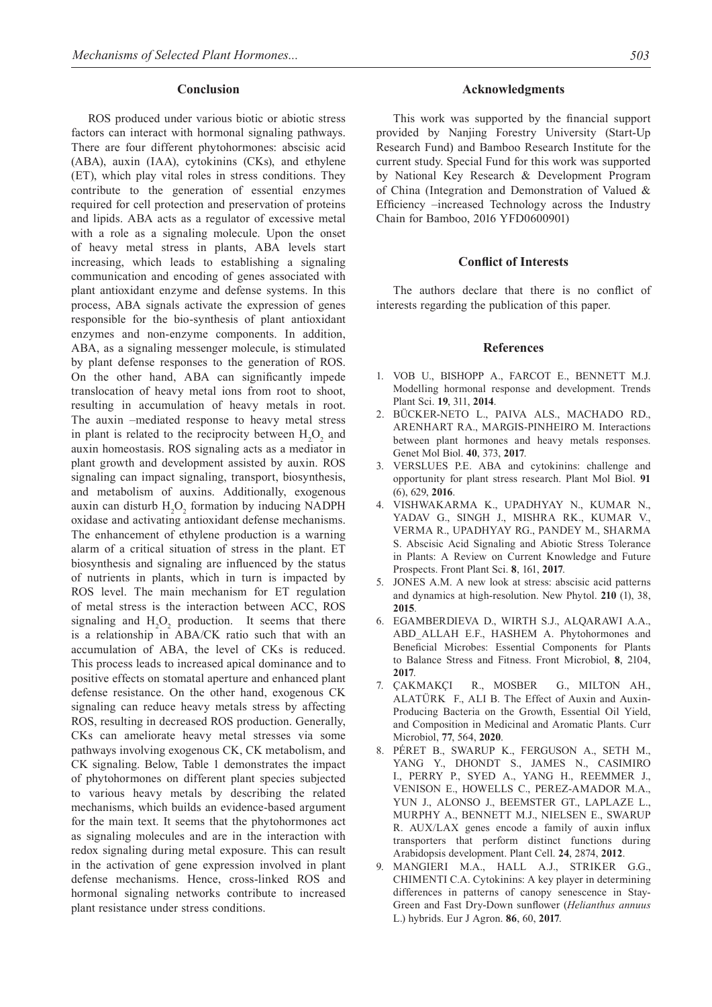#### **Conclusion**

ROS produced under various biotic or abiotic stress factors can interact with hormonal signaling pathways. There are four different phytohormones: abscisic acid (ABA), auxin (IAA), cytokinins (CKs), and ethylene (ET), which play vital roles in stress conditions. They contribute to the generation of essential enzymes required for cell protection and preservation of proteins and lipids. ABA acts as a regulator of excessive metal with a role as a signaling molecule. Upon the onset of heavy metal stress in plants, ABA levels start increasing, which leads to establishing a signaling communication and encoding of genes associated with plant antioxidant enzyme and defense systems. In this process, ABA signals activate the expression of genes responsible for the bio-synthesis of plant antioxidant enzymes and non-enzyme components. In addition, ABA, as a signaling messenger molecule, is stimulated by plant defense responses to the generation of ROS. On the other hand, ABA can significantly impede translocation of heavy metal ions from root to shoot, resulting in accumulation of heavy metals in root. The auxin –mediated response to heavy metal stress in plant is related to the reciprocity between  $H_2O_2$  and auxin homeostasis. ROS signaling acts as a mediator in plant growth and development assisted by auxin. ROS signaling can impact signaling, transport, biosynthesis, and metabolism of auxins. Additionally, exogenous auxin can disturb  $H_2O_2$  formation by inducing NADPH oxidase and activating antioxidant defense mechanisms. The enhancement of ethylene production is a warning alarm of a critical situation of stress in the plant. ET biosynthesis and signaling are influenced by the status of nutrients in plants, which in turn is impacted by ROS level. The main mechanism for ET regulation of metal stress is the interaction between ACC, ROS signaling and  $H_2O_2$  production. It seems that there is a relationship in ABA/CK ratio such that with an accumulation of ABA, the level of CKs is reduced. This process leads to increased apical dominance and to positive effects on stomatal aperture and enhanced plant defense resistance. On the other hand, exogenous CK signaling can reduce heavy metals stress by affecting ROS, resulting in decreased ROS production. Generally, CKs can ameliorate heavy metal stresses via some pathways involving exogenous CK, CK metabolism, and CK signaling. Below, Table 1 demonstrates the impact of phytohormones on different plant species subjected to various heavy metals by describing the related mechanisms, which builds an evidence-based argument for the main text. It seems that the phytohormones act as signaling molecules and are in the interaction with redox signaling during metal exposure. This can result in the activation of gene expression involved in plant defense mechanisms. Hence, cross-linked ROS and hormonal signaling networks contribute to increased plant resistance under stress conditions.

#### **Acknowledgments**

This work was supported by the financial support provided by Nanjing Forestry University (Start-Up Research Fund) and Bamboo Research Institute for the current study. Special Fund for this work was supported by National Key Research & Development Program of China (Integration and Demonstration of Valued & Efficiency –increased Technology across the Industry Chain for Bamboo, 2016 YFD0600901)

#### **Conflict of Interests**

The authors declare that there is no conflict of interests regarding the publication of this paper.

#### **References**

- 1. Vob U., Bishopp A., Farcot E., Bennett M.J. Modelling hormonal response and development. Trends Plant Sci. **19**, 311, **2014**.
- 2. Bücker-Neto L., Paiva ALS., Machado RD., Arenhart RA., Margis-Pinheiro M. Interactions between plant hormones and heavy metals responses. Genet Mol Biol. **40**, 373, **2017**.
- VERSLUES P.E. ABA and cytokinins: challenge and opportunity for plant stress research. Plant Mol Biol. **91**  (6), 629, **2016**.
- 4. Vishwakarma K., Upadhyay N., Kumar N., Yadav G., Singh J., Mishra RK., Kumar V., Verma R., Upadhyay RG., Pandey M., Sharma S. Abscisic Acid Signaling and Abiotic Stress Tolerance in Plants: A Review on Current Knowledge and Future Prospects. Front Plant Sci. **8**, 161, **2017**.
- 5. Jones A.M. A new look at stress: abscisic acid patterns and dynamics at high-resolution. New Phytol. **210** (1), 38, **2015**.
- 6. Egamberdieva D., Wirth S.J., Alqarawi A.A., ABD ALLAH E.F., HASHEM A. Phytohormones and Beneficial Microbes: Essential Components for Plants to Balance Stress and Fitness. Front Microbiol, **8**, 2104, **2017**.
- 7. Çakmakçı R., Mosber G., Milton AH., Alatürk F., Ali B. The Effect of Auxin and Auxin-Producing Bacteria on the Growth, Essential Oil Yield, and Composition in Medicinal and Aromatic Plants. Curr Microbiol, **77**, 564, **2020**.
- 8. Péret B., Swarup K., Ferguson A., Seth M., Yang Y., Dhondt S., James N., Casimiro I., Perry P., Syed A., Yang H., Reemmer J., Venison E., Howells C., Perez-Amador M.A., Yun J., Alonso J., Beemster GT., Laplaze L., Murphy A., Bennett M.J., Nielsen E., Swarup R. AUX/LAX genes encode a family of auxin influx transporters that perform distinct functions during Arabidopsis development. Plant Cell. **24**, 2874, **2012**.
- 9. Mangieri M.A., Hall A.J., Striker G.G., CHIMENTI C.A. Cytokinins: A key player in determining differences in patterns of canopy senescence in Stay-Green and Fast Dry-Down sunflower (*Helianthus annuus* L.) hybrids. Eur J Agron. **86**, 60, **2017**.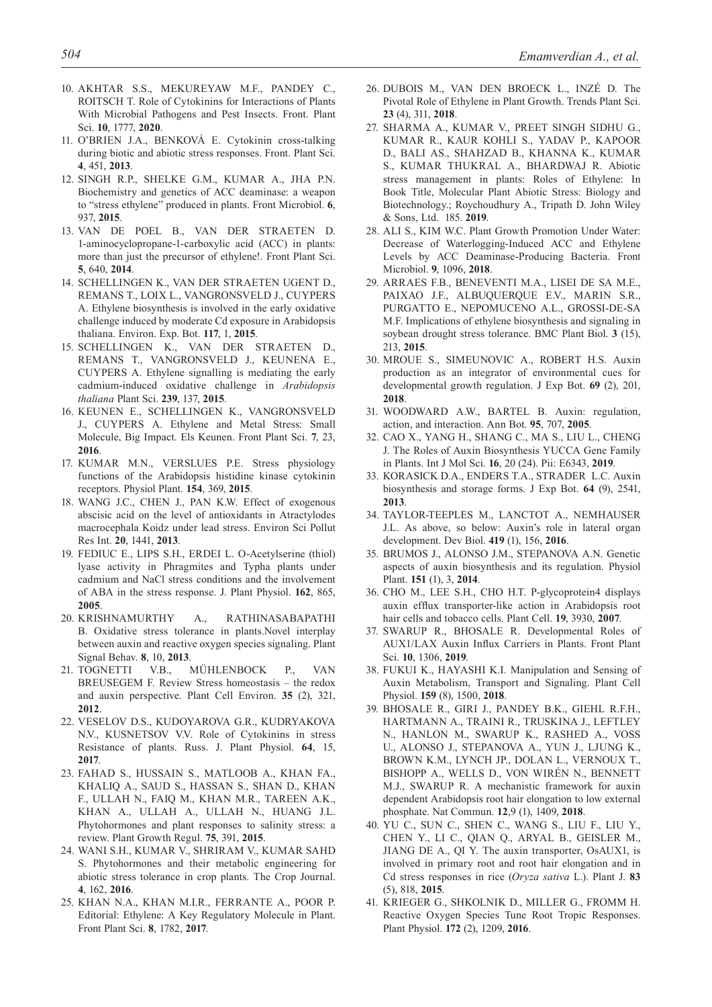- 10. Akhtar S.S., Mekureyaw M.F., Pandey C., ROITSCH T. Role of Cytokinins for Interactions of Plants With Microbial Pathogens and Pest Insects. Front. Plant Sci. **10**, 1777, **2020**.
- 11. O'Brien J.A., Benková E. Cytokinin cross-talking during biotic and abiotic stress responses. Front. Plant Sci. **4**, 451, **2013**.
- 12. Singh R.P., Shelke G.M., Kumar A., Jha P.N. Biochemistry and genetics of ACC deaminase: a weapon to "stress ethylene" produced in plants. Front Microbiol. **6**, 937, **2015**.
- 13. Van de Poel B., Van Der Straeten D. 1-aminocyclopropane-1-carboxylic acid (ACC) in plants: more than just the precursor of ethylene!. Front Plant Sci. **5**, 640, **2014**.
- 14. Schellingen K., Van Der Straeten Ugent D., Remans T., Loix L., Vangronsveld J., Cuypers A. Ethylene biosynthesis is involved in the early oxidative challenge induced by moderate Cd exposure in Arabidopsis thaliana. Environ. Exp. Bot. **117**, 1, **2015**.
- 15. Schellingen K., Van Der Straeten D., Remans T., Vangronsveld J., Keunena E., Cuypers A. Ethylene signalling is mediating the early cadmium-induced oxidative challenge in *Arabidopsis thaliana* Plant Sci. **239**, 137, **2015**.
- 16. Keunen E., Schellingen K., Vangronsveld J., Cuypers A. Ethylene and Metal Stress: Small Molecule, Big Impact. Els Keunen. Front Plant Sci. **7**, 23, **2016**.
- 17. KUMAR M.N., VERSLUES P.E. Stress physiology functions of the Arabidopsis histidine kinase cytokinin receptors. Physiol Plant. **154**, 369, **2015**.
- 18. Wang J.C., Chen J., Pan K.W. Effect of exogenous abscisic acid on the level of antioxidants in Atractylodes macrocephala Koidz under lead stress. Environ Sci Pollut Res Int. **20**, 1441, **2013**.
- 19. FEDIUC E., LIPS S.H., ERDEI L. O-Acetylserine (thiol) lyase activity in Phragmites and Typha plants under cadmium and NaCl stress conditions and the involvement of ABA in the stress response. J. Plant Physiol. **162**, 865, **2005**.
- 20. Krishnamurthy A., Rathinasabapathi B. Oxidative stress tolerance in plants.Novel interplay between auxin and reactive oxygen species signaling. Plant Signal Behav. **8**, 10, **2013**.
- 21. Tognetti V.B., Mühlenbock P., Van BREUSEGEM F. Review Stress homeostasis – the redox and auxin perspective. Plant Cell Environ. **35** (2), 321, **2012**.
- 22. Veselov D.S., Kudoyarova G.R., Kudryakova N.V., KUSNETSOV V.V. Role of Cytokinins in stress Resistance of plants. Russ. J. Plant Physiol. **64**, 15, **2017**.
- 23. Fahad S., Hussain S., Matloob A., Khan FA., Khaliq A., Saud S., Hassan S., Shan D., Khan F., Ullah N., Faiq M., Khan M.R., Tareen A.K., Khan A., Ullah A., Ullah N., Huang J.L. Phytohormones and plant responses to salinity stress: a review. Plant Growth Regul. **75**, 391, **2015**.
- 24. Wani S.H., Kumar V., Shriram V., Kumar Sahd S. Phytohormones and their metabolic engineering for abiotic stress tolerance in crop plants. The Crop Journal. **4**, 162, **2016**.
- 25. Khan N.A., Khan M.I.R., Ferrante A., Poor P. Editorial: Ethylene: A Key Regulatory Molecule in Plant. Front Plant Sci. **8**, 1782, **2017**.
- 26. Dubois M., Van den Broeck L., Inzé D. The Pivotal Role of Ethylene in Plant Growth. Trends Plant Sci. **23** (4), 311, **2018**.
- 27. Sharma A., Kumar V., Preet Singh Sidhu G., Kumar R., Kaur Kohli S., Yadav P., Kapoor D., Bali AS., Shahzad B., Khanna K., Kumar S., Kumar Thukral A., Bhardwaj R. Abiotic stress management in plants: Roles of Ethylene: In Book Title, Molecular Plant Abiotic Stress: Biology and Biotechnology.; Roychoudhury A., Tripath D. John Wiley & Sons, Ltd. 185. **2019**.
- 28. Ali S., Kim W.C. Plant Growth Promotion Under Water: Decrease of Waterlogging-Induced ACC and Ethylene Levels by ACC Deaminase-Producing Bacteria. Front Microbiol. **9**, 1096, **2018**.
- 29. Arraes F.B., Beneventi M.A., Lisei de Sa M.E., Paixao J.F., Albuquerque E.V., Marin S.R., Purgatto E., Nepomuceno A.L., Grossi-de-Sa M.F. Implications of ethylene biosynthesis and signaling in soybean drought stress tolerance. BMC Plant Biol. **3** (15), 213, **2015**.
- 30. Mroue S., Simeunovic A., Robert H.S. Auxin production as an integrator of environmental cues for developmental growth regulation. J Exp Bot. **69** (2), 201, **2018**.
- 31. Woodward A.W., Bartel B. Auxin: regulation, action, and interaction. Ann Bot. **95**, 707, **2005**.
- 32. Cao X., Yang H., Shang C., Ma S., Liu L., Cheng J. The Roles of Auxin Biosynthesis YUCCA Gene Family in Plants. Int J Mol Sci. **16**, 20 (24). Pii: E6343, **2019**.
- 33. Korasick D.A., Enders T.A., Strader L.C. Auxin biosynthesis and storage forms. J Exp Bot. **64** (9), 2541, **2013**.
- 34. Taylor-Teeples M., Lanctot A., Nemhauser J.L. As above, so below: Auxin's role in lateral organ development. Dev Biol. **419** (1), 156, **2016**.
- 35. Brumos J., Alonso J.M., Stepanova A.N. Genetic aspects of auxin biosynthesis and its regulation. Physiol Plant. **151** (1), 3, **2014**.
- 36. Cho M., Lee S.H., Cho H.T. P-glycoprotein4 displays auxin efflux transporter-like action in Arabidopsis root hair cells and tobacco cells. Plant Cell. **19**, 3930, **2007**.
- 37. Swarup R., Bhosale R. Developmental Roles of AUX1/LAX Auxin Influx Carriers in Plants. Front Plant Sci. **10**, 1306, **2019**.
- 38. Fukui K., Hayashi K.I. Manipulation and Sensing of Auxin Metabolism, Transport and Signaling. Plant Cell Physiol. **159** (8), 1500, **2018**.
- 39. Bhosale R., Giri J., Pandey B.K., Giehl R.F.H., Hartmann A., Traini R., Truskina J., Leftley N., Hanlon M., Swarup K., Rashed A., VoSS U., Alonso J., Stepanova A., Yun J., Ljung K., Brown K.M., Lynch JP., Dolan L., Vernoux T., Bishopp A., Wells D., von Wirén N., Bennett M.J., SWARUP R. A mechanistic framework for auxin dependent Arabidopsis root hair elongation to low external phosphate. Nat Commun. **12**,9 (1), 1409, **2018**.
- 40. Yu C., Sun C., Shen C., Wang S., Liu F., Liu Y., Chen Y., Li C., Qian Q., Aryal B., Geisler M., JIANG DE A., QI Y. The auxin transporter, OsAUX1, is involved in primary root and root hair elongation and in Cd stress responses in rice (*Oryza sativa* L.). Plant J. **83**  (5), 818, **2015**.
- 41. Krieger G., Shkolnik D., Miller G., Fromm H. Reactive Oxygen Species Tune Root Tropic Responses. Plant Physiol. **172** (2), 1209, **2016**.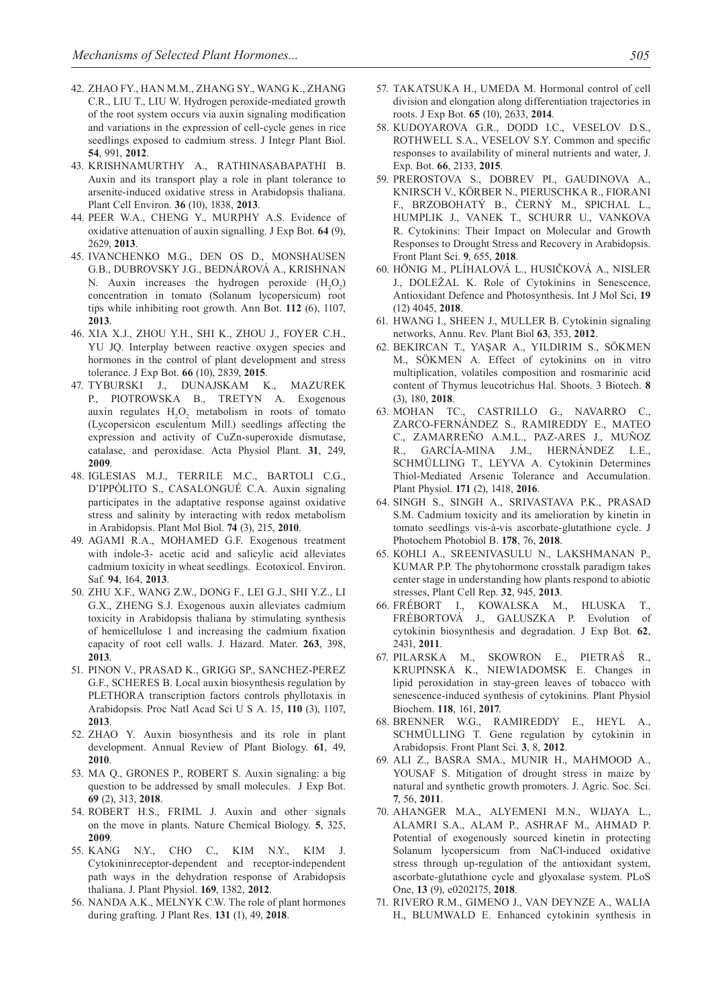- 42. Zhao FY., Han M.M., Zhang SY., Wang K., Zhang C.R., Liu T., Liu W. Hydrogen peroxide-mediated growth of the root system occurs via auxin signaling modification and variations in the expression of cell-cycle genes in rice seedlings exposed to cadmium stress. J Integr Plant Biol. **54**, 991, **2012**.
- 43. Krishnamurthy A., Rathinasabapathi B. Auxin and its transport play a role in plant tolerance to arsenite-induced oxidative stress in Arabidopsis thaliana. Plant Cell Environ. **36** (10), 1838, **2013**.
- 44. Peer W.A., Cheng Y., Murphy A.S. Evidence of oxidative attenuation of auxin signalling. J Exp Bot. **64** (9), 2629, **2013**.
- 45. Ivanchenko M.G., den Os D., Monshausen G.B., Dubrovsky J.G., Bednárová A., Krishnan N. Auxin increases the hydrogen peroxide  $(H_2O_2)$ concentration in tomato (Solanum lycopersicum) root tips while inhibiting root growth. Ann Bot. **112** (6), 1107, **2013**.
- 46. Xia X.J., Zhou Y.H., Shi K., Zhou J., Foyer C.H., Yu JQ. Interplay between reactive oxygen species and hormones in the control of plant development and stress tolerance. J Exp Bot. **66** (10), 2839, **2015**.
- 47. Tyburski J., Dunajskam K., Mazurek P., PIOTROWSKA B., TRETYN A. Exogenous auxin regulates  $H_2O_2$  metabolism in roots of tomato (Lycopersicon esculentum Mill.) seedlings affecting the expression and activity of CuZn-superoxide dismutase, catalase, and peroxidase. Acta Physiol Plant. **31**, 249, **2009**.
- 48. Iglesias M.J., Terrile M.C., Bartoli C.G., D'Ippólito S., Casalongué C.A. Auxin signaling participates in the adaptative response against oxidative stress and salinity by interacting with redox metabolism in Arabidopsis. Plant Mol Biol. **74** (3), 215, **2010**.
- 49. AGAMI R.A., MOHAMED G.F. Exogenous treatment with indole-3- acetic acid and salicylic acid alleviates cadmium toxicity in wheat seedlings. Ecotoxicol. Environ. Saf. **94**, 164, **2013**.
- 50. Zhu X.F., Wang Z.W., Dong F., Lei G.J., Shi Y.Z., Li G.X., ZHENG S.J. Exogenous auxin alleviates cadmium toxicity in Arabidopsis thaliana by stimulating synthesis of hemicellulose 1 and increasing the cadmium fixation capacity of root cell walls. J. Hazard. Mater. **263**, 398, **2013**.
- 51. Pinon V., Prasad K., Grigg SP., Sanchez-Perez G.F., Scheres B. Local auxin biosynthesis regulation by PLETHORA transcription factors controls phyllotaxis in Arabidopsis. Proc Natl Acad Sci U S A. 15, **110** (3), 1107, **2013**.
- 52. ZHAO Y. Auxin biosynthesis and its role in plant development. Annual Review of Plant Biology. **61**, 49, **2010**.
- 53. Ma Q., Grones P., Robert S. Auxin signaling: a big question to be addressed by small molecules. J Exp Bot. **69** (2), 313, **2018**.
- 54. ROBERT H.S., FRIML J. Auxin and other signals on the move in plants. Nature Chemical Biology. **5**, 325, **2009**.
- 55. Kang N.Y., Cho C., Kim N.Y., Kim J. Cytokininreceptor-dependent and receptor-independent path ways in the dehydration response of Arabidopsis thaliana. J. Plant Physiol. **169**, 1382, **2012**.
- 56. Nanda A.K., Melnyk C.W. The role of plant hormones during grafting. J Plant Res. **131** (1), 49, **2018**.
- 57. TAKATSUKA H., UMEDA M. Hormonal control of cell division and elongation along differentiation trajectories in roots. J Exp Bot. **65** (10), 2633, **2014**.
- 58. Kudoyarova G.R., Dodd I.C., Veselov D.S., ROTHWELL S.A., VESELOV S.Y. Common and specific responses to availability of mineral nutrients and water, J. Exp. Bot. **66**, 2133, **2015**.
- 59. Prerostova S., Dobrev PI., Gaudinova A., Knirsch V., Körber N., Pieruschka R., Fiorani F., Brzobohatý B., černý M., Spichal L., Humplik J., Vanek T., Schurr U., Vankova R. Cytokinins: Their Impact on Molecular and Growth Responses to Drought Stress and Recovery in Arabidopsis. Front Plant Sci. **9**, 655, **2018**.
- 60. Hönig M., Plíhalová L., Husičková A., Nisler J., Doležal K. Role of Cytokinins in Senescence, Antioxidant Defence and Photosynthesis. Int J Mol Sci, **19**  (12) 4045, **2018**.
- 61. Hwang I., Sheen J., Muller B. Cytokinin signaling networks, Annu. Rev. Plant Biol **63**, 353, **2012**.
- 62. Bekircan T., Yaşar A., Yıldırım S., Sökmen M., Sökmen A. Effect of cytokinins on in vitro multiplication, volatiles composition and rosmarinic acid content of Thymus leucotrichus Hal. Shoots. 3 Biotech. **8**  (3), 180, **2018**.
- 63. Mohan TC., Castrillo G., Navarro C., Zarco-Fernández S., Ramireddy E., Mateo C., Zamarreño A.M.L., Paz-Ares J., Muñoz R., García-Mina J.M., Hernández L.E., SCHMÜLLING T., LEYVA A. Cytokinin Determines Thiol-Mediated Arsenic Tolerance and Accumulation. Plant Physiol. **171** (2), 1418, **2016**.
- 64. Singh S., Singh A., Srivastava P.K., Prasad S.M. Cadmium toxicity and its amelioration by kinetin in tomato seedlings vis-à-vis ascorbate-glutathione cycle. J Photochem Photobiol B. **178**, 76, **2018**.
- 65. Kohli A., Sreenivasulu N., Lakshmanan P., KUMAR P.P. The phytohormone crosstalk paradigm takes center stage in understanding how plants respond to abiotic stresses, Plant Cell Rep. **32**, 945, **2013**.
- 66. Frébort I., Kowalska M., Hluska T., Frébortová J., Galuszka P. Evolution of cytokinin biosynthesis and degradation. J Exp Bot. **62**, 2431, **2011**.
- 67. Pilarska M., Skowron E., Pietraś R., Krupinska K., Niewiadomsk E. Changes in lipid peroxidation in stay-green leaves of tobacco with senescence-induced synthesis of cytokinins. Plant Physiol Biochem. **118**, 161, **2017**.
- 68. Brenner W.G., Ramireddy E., Heyl A., SCHMÜLLING T. Gene regulation by cytokinin in Arabidopsis. Front Plant Sci. **3**, 8, **2012**.
- 69. Ali Z., Basra SMA., Munir H., Mahmood A., YOUSAF S. Mitigation of drought stress in maize by natural and synthetic growth promoters. J. Agric. Soc. Sci. **7**, 56, **2011**.
- 70. Ahanger M.A., Alyemeni M.N., Wijaya L., Alamri S.A., Alam P., Ashraf M., Ahmad P. Potential of exogenously sourced kinetin in protecting Solanum lycopersicum from NaCl-induced oxidative stress through up-regulation of the antioxidant system, ascorbate-glutathione cycle and glyoxalase system. PLoS One, **13** (9), e0202175, **2018**.
- 71. Rivero R.M., Gimeno J., Van Deynze A., Walia H., BLUMWALD E. Enhanced cytokinin synthesis in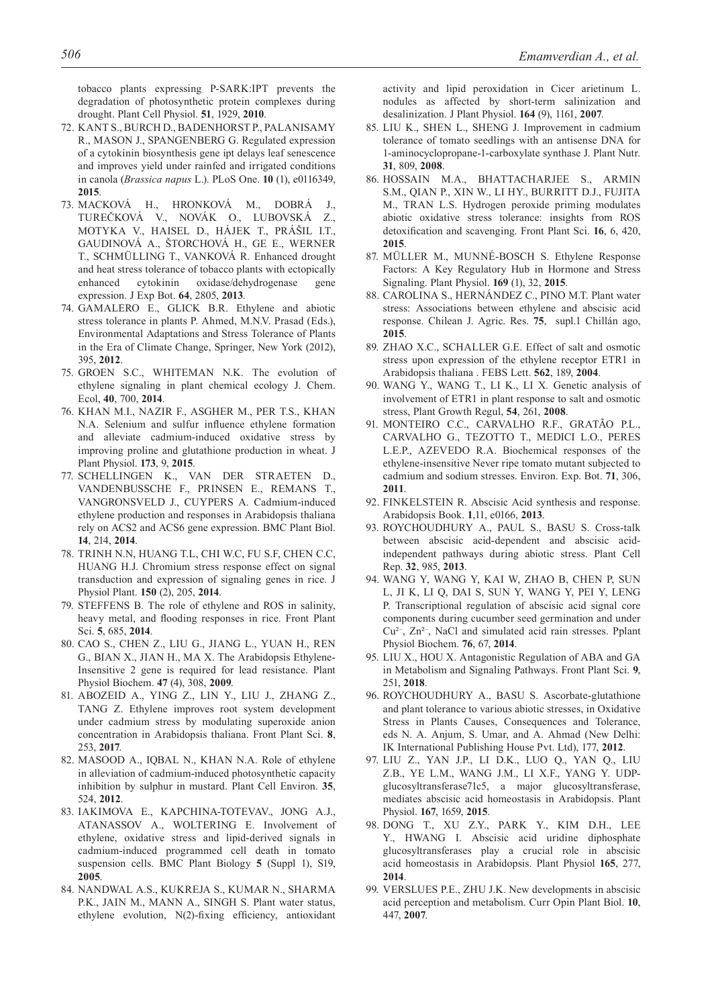tobacco plants expressing P-SARK:IPT prevents the degradation of photosynthetic protein complexes during drought. Plant Cell Physiol. **51**, 1929, **2010**.

- 72. Kant S., Burch D., Badenhorst P., Palanisamy R., Mason J., Spangenberg G. Regulated expression of a cytokinin biosynthesis gene ipt delays leaf senescence and improves yield under rainfed and irrigated conditions in canola (*Brassica napus* L.). PLoS One. **10** (1), e0116349, **2015**.
- 73. Macková H., Hronková M., Dobrá J., Turečková V., Novák O., Lubovská Z., Motyka V., Haisel D., Hájek T., Prášil I.T., Gaudinová A., Štorchová H., Ge E., Werner T., Schmülling T., Vanková R. Enhanced drought and heat stress tolerance of tobacco plants with ectopically enhanced cytokinin oxidase/dehydrogenase gene expression. J Exp Bot. **64**, 2805, **2013**.
- 74. Gamalero E., Glick B.R. Ethylene and abiotic stress tolerance in plants P. Ahmed, M.N.V. Prasad (Eds.), Environmental Adaptations and Stress Tolerance of Plants in the Era of Climate Change, Springer, New York (2012), 395, **2012**.
- 75. Groen S.C., Whiteman N.K. The evolution of ethylene signaling in plant chemical ecology J. Chem. Ecol, **40**, 700, **2014**.
- 76. Khan M.I., Nazir F., Asgher M., Per T.S., Khan N.A. Selenium and sulfur influence ethylene formation and alleviate cadmium-induced oxidative stress by improving proline and glutathione production in wheat. J Plant Physiol. **173**, 9, **2015**.
- 77. Schellingen K., Van Der Straeten D., Vandenbussche F., Prinsen E., Remans T., Vangronsveld J., Cuypers A. Cadmium-induced ethylene production and responses in Arabidopsis thaliana rely on ACS2 and ACS6 gene expression. BMC Plant Biol. **14**, 214, **2014**.
- 78. Trinh N.N, Huang T.L, Chi W.C, Fu S.F, Chen C.C, HUANG H.J. Chromium stress response effect on signal transduction and expression of signaling genes in rice. J Physiol Plant. **150** (2), 205, **2014**.
- 79. STEFFENS B. The role of ethylene and ROS in salinity, heavy metal, and flooding responses in rice. Front Plant Sci. **5**, 685, **2014**.
- 80. Cao S., Chen Z., Liu G., Jiang L., Yuan H., Ren G., BIAN X., JIAN H., MA X. The Arabidopsis Ethylene-Insensitive 2 gene is required for lead resistance. Plant Physiol Biochem. **47** (4), 308, **2009**.
- 81. Abozeid A., Ying Z., Lin Y., Liu J., Zhang Z., TANG Z. Ethylene improves root system development under cadmium stress by modulating superoxide anion concentration in Arabidopsis thaliana. Front Plant Sci. **8**, 253, **2017**.
- 82. Masood A., Iqbal N., Khan N.A. Role of ethylene in alleviation of cadmium-induced photosynthetic capacity inhibition by sulphur in mustard. Plant Cell Environ. **35**, 524, **2012**.
- 83. Iakimova E., Kapchina-TotevaV., Jong A.J., Atanassov A., Woltering E. Involvement of ethylene, oxidative stress and lipid-derived signals in cadmium-induced programmed cell death in tomato suspension cells. BMC Plant Biology **5** (Suppl 1), S19, **2005**.
- 84. Nandwal A.S., Kukreja S., Kumar N., Sharma P.K., JAIN M., MANN A., SINGH S. Plant water status, ethylene evolution, N(2)-fixing efficiency, antioxidant

activity and lipid peroxidation in Cicer arietinum L. nodules as affected by short-term salinization and desalinization. J Plant Physiol. **164** (9), 1161, **2007**.

- 85. Liu K., Shen L., Sheng J. Improvement in cadmium tolerance of tomato seedlings with an antisense DNA for 1-aminocyclopropane-1-carboxylate synthase J. Plant Nutr. **31**, 809, **2008**.
- 86. Hossain M.A., Bhattacharjee S., Armin S.M., Qian P., Xin W., Li HY., Burritt D.J., Fujita M., TRAN L.S. Hydrogen peroxide priming modulates abiotic oxidative stress tolerance: insights from ROS detoxification and scavenging. Front Plant Sci. **16**, 6, 420, **2015**.
- 87. Müller M., Munné-Bosch S. Ethylene Response Factors: A Key Regulatory Hub in Hormone and Stress Signaling. Plant Physiol. **169** (1), 32, **2015**.
- 88. Carolina S., Hernández C., Pino M.T. Plant water stress: Associations between ethylene and abscisic acid response. Chilean J. Agric. Res. **75**, supl.1 Chillán ago, **2015**.
- 89. Zhao X.C., Schaller G.E. Effect of salt and osmotic stress upon expression of the ethylene receptor ETR1 in Arabidopsis thaliana . FEBS Lett. **562**, 189, **2004**.
- 90. Wang Y., Wang T., Li K., Li X. Genetic analysis of involvement of ETR1 in plant response to salt and osmotic stress, Plant Growth Regul, **54**, 261, **2008**.
- 91. Monteiro C.C., Carvalho R.F., Gratão P.L., Carvalho G., Tezotto T., Medici L.O., Peres L.E.P., AZEVEDO R.A. Biochemical responses of the ethylene-insensitive Never ripe tomato mutant subjected to cadmium and sodium stresses. Environ. Exp. Bot. **71**, 306, **2011**.
- 92. FINKELSTEIN R. Abscisic Acid synthesis and response. Arabidopsis Book. **1**,11, e0166, **2013**.
- 93. Roychoudhury A., Paul S., Basu S. Cross-talk between abscisic acid-dependent and abscisic acidindependent pathways during abiotic stress. Plant Cell Rep. **32**, 985, **2013**.
- 94. Wang Y, Wang Y, Kai W, Zhao B, Chen P, Sun L, Ji K, Li Q, Dai S, Sun Y, Wang Y, Pei Y, Leng P. Transcriptional regulation of abscisic acid signal core components during cucumber seed germination and under Cu²– , Zn²– , NaCl and simulated acid rain stresses. Pplant Physiol Biochem. **76**, 67, **2014**.
- 95. Liu X., Hou X. Antagonistic Regulation of ABA and GA in Metabolism and Signaling Pathways. Front Plant Sci. **9**, 251, **2018**.
- 96. ROYCHOUDHURY A., BASU S. Ascorbate-glutathione and plant tolerance to various abiotic stresses, in Oxidative Stress in Plants Causes, Consequences and Tolerance, eds N. A. Anjum, S. Umar, and A. Ahmad (New Delhi: IK International Publishing House Pvt. Ltd), 177, **2012**.
- 97. Liu Z., Yan J.P., Li D.K., Luo Q., Yan Q., Liu Z.B., Ye L.M., Wang J.M., Li X.F., Yang Y. UDPglucosyltransferase71c5, a major glucosyltransferase, mediates abscisic acid homeostasis in Arabidopsis. Plant Physiol. **167**, 1659, **2015**.
- 98. Dong T., Xu Z.Y., Park Y., Kim D.H., Lee Y., HWANG I. Abscisic acid uridine diphosphate glucosyltransferases play a crucial role in abscisic acid homeostasis in Arabidopsis. Plant Physiol **165**, 277, **2014**.
- 99. VERSLUES P.E., ZHU J.K. New developments in abscisic acid perception and metabolism. Curr Opin Plant Biol. **10**, 447, **2007**.